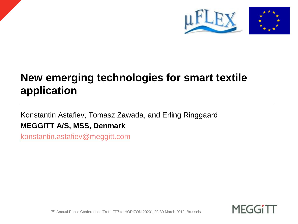



# **New emerging technologies for smart textile application**

Konstantin Astafiev, Tomasz Zawada, and Erling Ringgaard **MEGGITT A/S, MSS, Denmark**

[konstantin.astafiev@meggitt.com](mailto:konstantin.astafiev@meggitt.com)



7 th Annual Public Conference: "From FP7 to HORIZON 2020", 29-30 March 2012, Brussels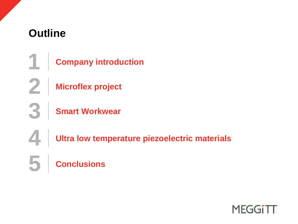## **Outline**

 **Microflex project Smart Workwear** Company introduction **Ultra low temperature piezoelectric materials Conclusions**

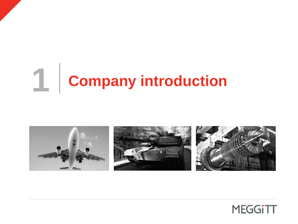# **Company introduction**



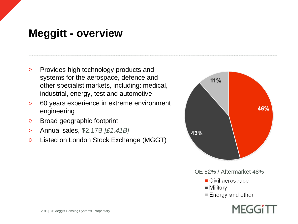#### **Meggitt - overview**

- Provides high technology products and  $\mathcal{Y}$ systems for the aerospace, defence and other specialist markets, including: medical, industrial, energy, test and automotive
- 60 years experience in extreme environment  $\mathcal{Y}$ engineering
- Broad geographic footprint  $\mathcal{Y}$
- Annual sales, \$2.17B *[£1.41B]*  $\mathcal{Y}$
- Listed on London Stock Exchange (MGGT)  $\mathcal{Y}$



OE 52% / Aftermarket 48%

- Civil aerospace
- $\blacksquare$  Military
- **E** Energy and other

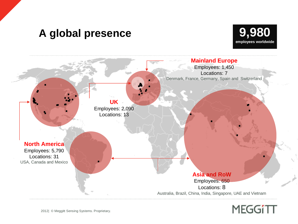#### **A global presence**





## **MEGGITT**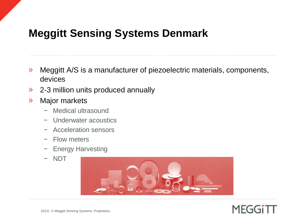### **Meggitt Sensing Systems Denmark**

- Meggitt A/S is a manufacturer of piezoelectric materials, components,  $\mathcal{Y}$ devices
- 2-3 million units produced annually  $\mathcal{Y}$
- Major markets  $\mathcal{Y}$ 
	- − Medical ultrasound
	- − Underwater acoustics
	- − Acceleration sensors
	- − Flow meters
	- − Energy Harvesting
	- − NDT



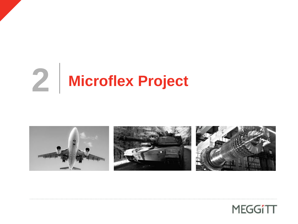# **Microflex Project**



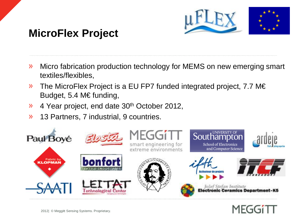

## **MicroFlex Project**

- Micro fabrication production technology for MEMS on new emerging smart  $\mathcal{Y}$ textiles/flexibles,
- The MicroFlex Project is a EU FP7 funded integrated project, 7.7 M€  $\mathcal{Y}$ Budget, 5.4 M€ funding,
- 4 Year project, end date 30<sup>th</sup> October 2012,  $\mathcal{Y}$
- $\mathcal{Y}$ 13 Partners, 7 industrial, 9 countries.



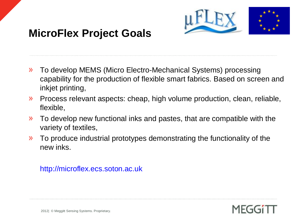

## **MicroFlex Project Goals**

- To develop MEMS (Micro Electro-Mechanical Systems) processing  $\mathcal{Y}$ capability for the production of flexible smart fabrics. Based on screen and inkjet printing,
- $\mathcal{Y}$ Process relevant aspects: cheap, high volume production, clean, reliable, flexible,
- To develop new functional inks and pastes, that are compatible with the  $\mathcal{Y}$ variety of textiles,
- To produce industrial prototypes demonstrating the functionality of the  $\sum$ new inks.

#### http://microflex.ecs.soton.ac.uk

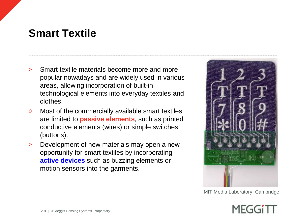#### **Smart Textile**

- Smart textile materials become more and more  $\mathcal{Y}$ popular nowadays and are widely used in various areas, allowing incorporation of built-in technological elements into everyday textiles and clothes.
- Most of the commercially available smart textiles  $\mathcal{Y}$ are limited to **passive elements**, such as printed conductive elements (wires) or simple switches (buttons).
- Development of new materials may open a new  $\mathcal{Y}$ opportunity for smart textiles by incorporating **active devices** such as buzzing elements or motion sensors into the garments.



MIT Media Laboratory, Cambridge

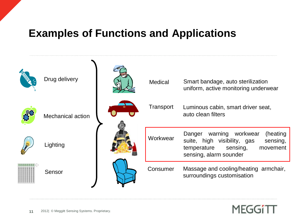### **Examples of Functions and Applications**



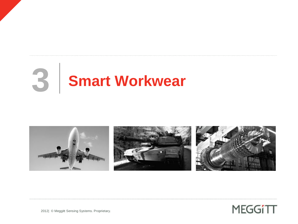# **3 Smart Workwear**





2012| © Meggitt Sensing Systems. Proprietary.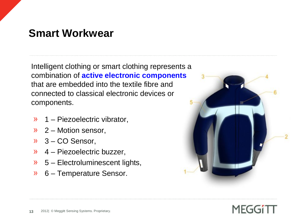#### **Smart Workwear**

Intelligent clothing or smart clothing represents a combination of **active electronic components** that are embedded into the textile fibre and connected to classical electronic devices or components.

- $\rightarrow$  1 Piezoelectric vibrator,
- $\lambda$  2 Motion sensor,
- $3 CO$  Sensor,
- $9$  4 Piezoelectric buzzer,
- $3 5$  Electroluminescent lights,
- $\rightarrow$  6 Temperature Sensor.



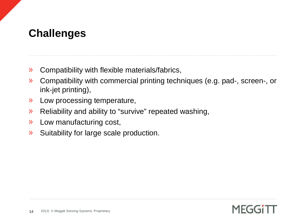## **Challenges**

- Compatibility with flexible materials/fabrics,  $\mathcal{Y}$
- Compatibility with commercial printing techniques (e.g. pad-, screen-, or  $\lambda$ ink-jet printing),
- Low processing temperature,  $\mathcal{Y}$
- Reliability and ability to "survive" repeated washing,  $\sum$
- $\mathcal{Y}$ Low manufacturing cost,
- Suitability for large scale production. $\mathcal{Y}$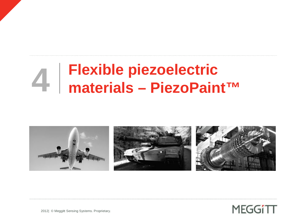# **Flexible piezoelectric 4 materials – PiezoPaint™**





2012| © Meggitt Sensing Systems. Proprietary.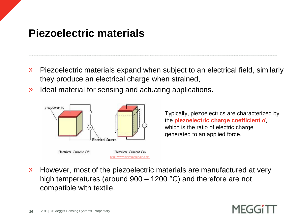#### **Piezoelectric materials**

- Piezoelectric materials expand when subject to an electrical field, similarly  $\lambda$ they produce an electrical charge when strained,
- Ideal material for sensing and actuating applications.  $\mathcal{Y}$



Typically, piezoelectrics are characterized by the **piezoelectric charge coefficient** *d*, which is the ratio of electric charge generated to an applied force.

However, most of the piezoelectric materials are manufactured at very  $\mathcal{Y}$ high temperatures (around 900 – 1200 °C) and therefore are not compatible with textile.

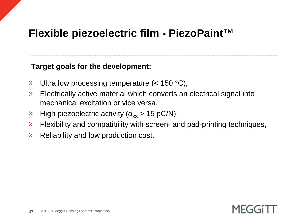#### **Flexible piezoelectric film - PiezoPaint™**

#### **Target goals for the development:**

- Ultra low processing temperature (< 150 °C),  $\mathcal{Y}$
- Electrically active material which converts an electrical signal into  $\sum$ mechanical excitation or vice versa,
- High piezoelectric activity  $(d_{33} > 15 \text{ pC/N})$ ,  $\sum$
- Flexibility and compatibility with screen- and pad-printing techniques,  $\mathcal{Y}$
- Reliability and low production cost.  $\mathcal{Y}$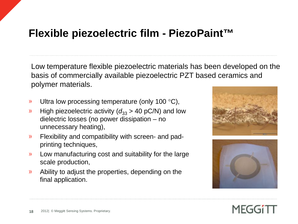#### **Flexible piezoelectric film - PiezoPaint™**

Low temperature flexible piezoelectric materials has been developed on the basis of commercially available piezoelectric PZT based ceramics and polymer materials.

- Ultra low processing temperature (only 100 °C),  $\mathcal{Y}$
- High piezoelectric activity ( $d_{33}$  > 40 pC/N) and low  $\mathcal{Y}$ dielectric losses (no power dissipation – no unnecessary heating),
- Flexibility and compatibility with screen- and pad- $\mathcal{Y}$ printing techniques,
- Low manufacturing cost and suitability for the large  $\mathcal{Y}$ scale production,
- Ability to adjust the properties, depending on the  $\mathcal{P}$ final application.





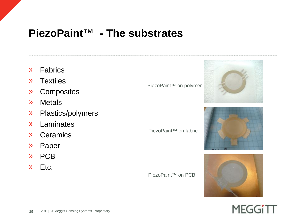#### **PiezoPaint™ - The substrates**

- Fabrics  $\mathcal{Y}$
- **Textiles**  $\mathcal{Y}$
- **Composites**  $\mathcal{Y}$
- **Metals**  $\mathcal{Y}$
- Plastics/polymers  $\mathcal{Y}$
- Laminates  $\mathcal{Y}$
- $\mathcal{Y}$ Ceramics
- Paper  $\mathcal{Y}$
- » PCB
- Etc.  $\mathcal{Y}$

PiezoPaint™ on polymer

PiezoPaint™ on fabric

PiezoPaint™ on PCB







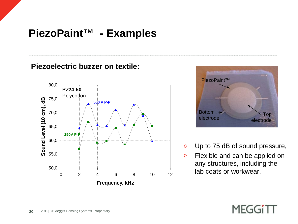### **PiezoPaint™ - Examples**

#### **Piezoelectric buzzer on textile:**





- Up to 75 dB of sound pressure,
- Flexible and can be applied on any structures, including the lab coats or workwear.

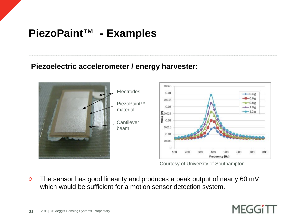## **PiezoPaint™ - Examples**

#### **Piezoelectric accelerometer / energy harvester:**



Courtesy of University of Southampton

**MEGGITT** 

The sensor has good linearity and produces a peak output of nearly 60 mV  $\mathcal{Y}$ which would be sufficient for a motion sensor detection system.

**21**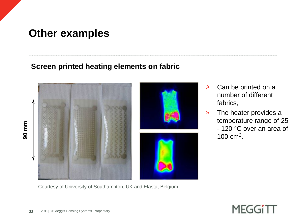#### **Other examples**

#### **Screen printed heating elements on fabric**



Courtesy of University of Southampton, UK and Elasta, Belgium

- Can be printed on a  $\mathcal{Y}$ number of different fabrics,
- $\mathcal{Y}$ The heater provides a temperature range of 25 - 120 °C over an area of 100 cm<sup>2</sup> .

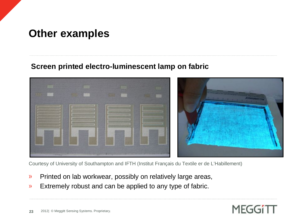#### **Other examples**

#### **Screen printed electro-luminescent lamp on fabric**



Courtesy of University of Southampton and IFTH (Institut Français du Textile er de L'Habillement)

- Printed on lab workwear, possibly on relatively large areas,  $\mathcal{Y}$
- Extremely robust and can be applied to any type of fabric.  $\mathcal{Y}$

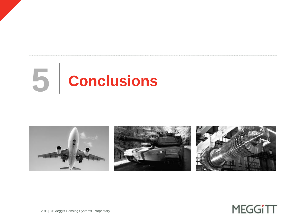# **5 Conclusions**





2012| © Meggitt Sensing Systems. Proprietary.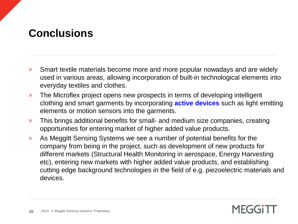## **Conclusions**

- Smart textile materials become more and more popular nowadays and are widely  $\mathcal{Y}$ used in various areas, allowing incorporation of built-in technological elements into everyday textiles and clothes.
- The Microflex project opens new prospects in terms of developing intelligent  $\mathcal{Y}$ clothing and smart garments by incorporating **active devices** such as light emitting elements or motion sensors into the garments.
- This brings additional benefits for small- and medium size companies, creating  $\mathcal{Y}$ opportunities for entering market of higher added value products.
- As Meggitt Sensing Systems we see a number of potential benefits for the  $\mathcal{Y}$ company from being in the project, such as development of new products for different markets (Structural Health Monitoring in aerospace, Energy Harvesting etc), entering new markets with higher added value products, and establishing cutting edge background technologies in the field of e.g. piezoelectric materials and devices.

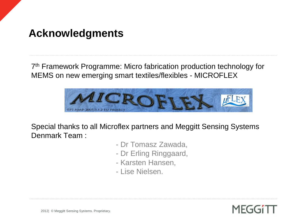#### **Acknowledgments**

7 th Framework Programme: Micro fabrication production technology for MEMS on new emerging smart textiles/flexibles - MICROFLEX



Special thanks to all Microflex partners and Meggitt Sensing Systems Denmark Team :

- Dr Tomasz Zawada,
- Dr Erling Ringgaard,
- Karsten Hansen,
- Lise Nielsen.